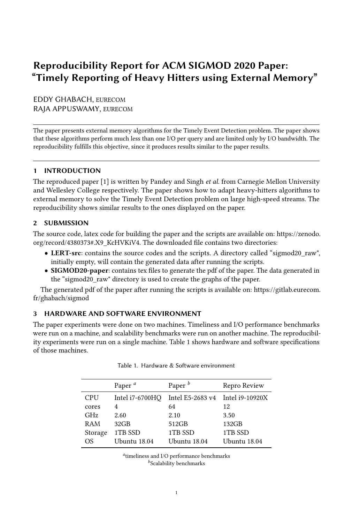# Reproducibility Report for ACM SIGMOD 2020 Paper: "Timely Reporting of Heavy Hitters using External Memory"

EDDY GHABACH, EURECOM RAJA APPUSWAMY, EURECOM

The paper presents external memory algorithms for the Timely Event Detection problem. The paper shows that these algorithms perform much less than one I/O per query and are limited only by I/O bandwidth. The reproducibility fulfills this objective, since it produces results similar to the paper results.

# 1 INTRODUCTION

The reproduced paper [\[1\]](#page-1-0) is written by Pandey and Singh et al. from Carnegie Mellon University and Wellesley College respectively. The paper shows how to adapt heavy-hitters algorithms to external memory to solve the Timely Event Detection problem on large high-speed streams. The reproducibility shows similar results to the ones displayed on the paper.

#### 2 SUBMISSION

The source code, latex code for building the paper and the scripts are available on: [https://zenodo.](https://zenodo.org/record/4380373#.X9_KcHVKiV4) [org/record/4380373#.X9\\_KcHVKiV4.](https://zenodo.org/record/4380373#.X9_KcHVKiV4) The downloaded file contains two directories:

- LERT-src: contains the source codes and the scripts. A directory called "sigmod20\_raw", initially empty, will contain the generated data after running the scripts.
- SIGMOD20-paper: contains tex files to generate the pdf of the paper. The data generated in the "sigmod20\_raw" directory is used to create the graphs of the paper.

The generated pdf of the paper after running the scripts is available on: [https://gitlab.eurecom.](https://gitlab.eurecom.fr/ghabach/sigmod) [fr/ghabach/sigmod](https://gitlab.eurecom.fr/ghabach/sigmod)

#### 3 HARDWARE AND SOFTWARE ENVIRONMENT

<span id="page-0-0"></span>The paper experiments were done on two machines. Timeliness and I/O performance benchmarks were run on a machine, and scalability benchmarks were run on another machine. The reproducibility experiments were run on a single machine. Table [1](#page-0-0) shows hardware and software specifications of those machines.

|            | Paper <sup>a</sup> | Paper $^b$                       | Repro Review |
|------------|--------------------|----------------------------------|--------------|
| <b>CPU</b> | Intel i7-6700HQ    | Intel E5-2683 v4 Intel i9-10920X |              |
| cores      | 4                  | 64                               | 12           |
| <b>GHz</b> | 2.60               | 2.10                             | 3.50         |
| RAM        | $32$ GB            | 512GB                            | 132GB        |
| Storage    | 1TB SSD            | 1TB SSD                          | 1TB SSD      |
| OS.        | Ubuntu 18.04       | Ubuntu 18.04                     | Ubuntu 18.04 |

|  |  | Table 1. Hardware & Software environment |
|--|--|------------------------------------------|
|  |  |                                          |

a timeliness and I/O performance benchmarks  $\prescript{b}{}{\textrm{Scalability}}$  benchmarks